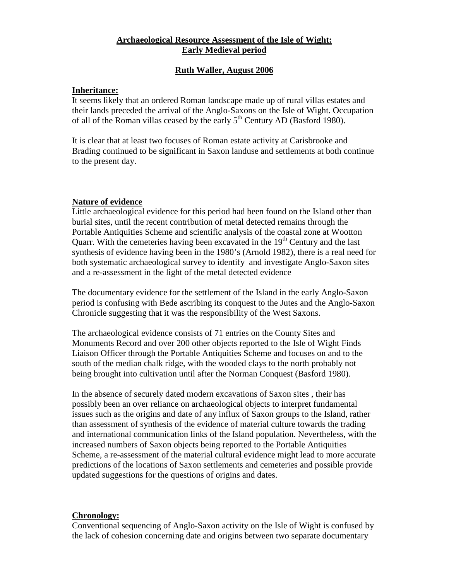## **Archaeological Resource Assessment of the Isle of Wight: Early Medieval period**

## **Ruth Waller, August 2006**

# **Inheritance:**

It seems likely that an ordered Roman landscape made up of rural villas estates and their lands preceded the arrival of the Anglo-Saxons on the Isle of Wight. Occupation of all of the Roman villas ceased by the early 5<sup>th</sup> Century AD (Basford 1980).

It is clear that at least two focuses of Roman estate activity at Carisbrooke and Brading continued to be significant in Saxon landuse and settlements at both continue to the present day.

### **Nature of evidence**

Little archaeological evidence for this period had been found on the Island other than burial sites, until the recent contribution of metal detected remains through the Portable Antiquities Scheme and scientific analysis of the coastal zone at Wootton Quarr. With the cemeteries having been excavated in the  $19<sup>th</sup>$  Century and the last synthesis of evidence having been in the 1980's (Arnold 1982), there is a real need for both systematic archaeological survey to identify and investigate Anglo-Saxon sites and a re-assessment in the light of the metal detected evidence

The documentary evidence for the settlement of the Island in the early Anglo-Saxon period is confusing with Bede ascribing its conquest to the Jutes and the Anglo-Saxon Chronicle suggesting that it was the responsibility of the West Saxons.

The archaeological evidence consists of 71 entries on the County Sites and Monuments Record and over 200 other objects reported to the Isle of Wight Finds Liaison Officer through the Portable Antiquities Scheme and focuses on and to the south of the median chalk ridge, with the wooded clays to the north probably not being brought into cultivation until after the Norman Conquest (Basford 1980).

In the absence of securely dated modern excavations of Saxon sites , their has possibly been an over reliance on archaeological objects to interpret fundamental issues such as the origins and date of any influx of Saxon groups to the Island, rather than assessment of synthesis of the evidence of material culture towards the trading and international communication links of the Island population. Nevertheless, with the increased numbers of Saxon objects being reported to the Portable Antiquities Scheme, a re-assessment of the material cultural evidence might lead to more accurate predictions of the locations of Saxon settlements and cemeteries and possible provide updated suggestions for the questions of origins and dates.

### **Chronology:**

Conventional sequencing of Anglo-Saxon activity on the Isle of Wight is confused by the lack of cohesion concerning date and origins between two separate documentary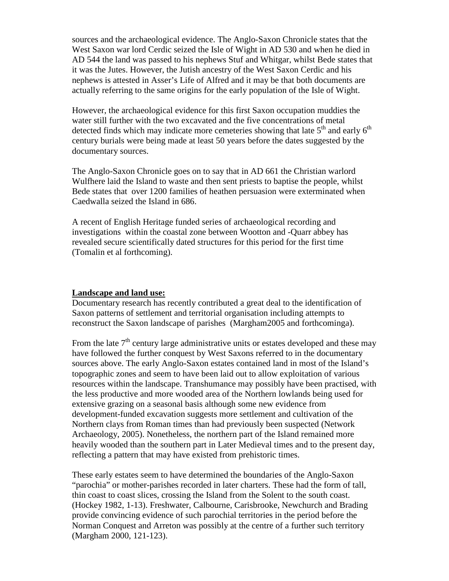sources and the archaeological evidence. The Anglo-Saxon Chronicle states that the West Saxon war lord Cerdic seized the Isle of Wight in AD 530 and when he died in AD 544 the land was passed to his nephews Stuf and Whitgar, whilst Bede states that it was the Jutes. However, the Jutish ancestry of the West Saxon Cerdic and his nephews is attested in Asser's Life of Alfred and it may be that both documents are actually referring to the same origins for the early population of the Isle of Wight.

However, the archaeological evidence for this first Saxon occupation muddies the water still further with the two excavated and the five concentrations of metal detected finds which may indicate more cemeteries showing that late  $5<sup>th</sup>$  and early  $6<sup>th</sup>$ century burials were being made at least 50 years before the dates suggested by the documentary sources.

The Anglo-Saxon Chronicle goes on to say that in AD 661 the Christian warlord Wulfhere laid the Island to waste and then sent priests to baptise the people, whilst Bede states that over 1200 families of heathen persuasion were exterminated when Caedwalla seized the Island in 686.

A recent of English Heritage funded series of archaeological recording and investigations within the coastal zone between Wootton and -Quarr abbey has revealed secure scientifically dated structures for this period for the first time (Tomalin et al forthcoming).

#### **Landscape and land use:**

Documentary research has recently contributed a great deal to the identification of Saxon patterns of settlement and territorial organisation including attempts to reconstruct the Saxon landscape of parishes (Margham2005 and forthcominga).

From the late  $7<sup>th</sup>$  century large administrative units or estates developed and these may have followed the further conquest by West Saxons referred to in the documentary sources above. The early Anglo-Saxon estates contained land in most of the Island's topographic zones and seem to have been laid out to allow exploitation of various resources within the landscape. Transhumance may possibly have been practised, with the less productive and more wooded area of the Northern lowlands being used for extensive grazing on a seasonal basis although some new evidence from development-funded excavation suggests more settlement and cultivation of the Northern clays from Roman times than had previously been suspected (Network Archaeology, 2005). Nonetheless, the northern part of the Island remained more heavily wooded than the southern part in Later Medieval times and to the present day, reflecting a pattern that may have existed from prehistoric times.

These early estates seem to have determined the boundaries of the Anglo-Saxon "parochia" or mother-parishes recorded in later charters. These had the form of tall, thin coast to coast slices, crossing the Island from the Solent to the south coast. (Hockey 1982, 1-13). Freshwater, Calbourne, Carisbrooke, Newchurch and Brading provide convincing evidence of such parochial territories in the period before the Norman Conquest and Arreton was possibly at the centre of a further such territory (Margham 2000, 121-123).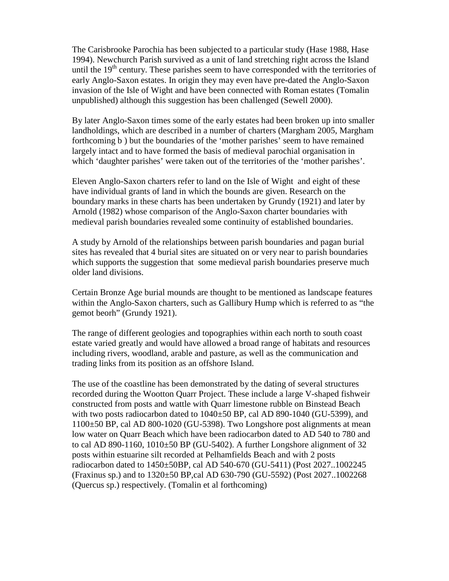The Carisbrooke Parochia has been subjected to a particular study (Hase 1988, Hase 1994). Newchurch Parish survived as a unit of land stretching right across the Island until the  $19<sup>th</sup>$  century. These parishes seem to have corresponded with the territories of early Anglo-Saxon estates. In origin they may even have pre-dated the Anglo-Saxon invasion of the Isle of Wight and have been connected with Roman estates (Tomalin unpublished) although this suggestion has been challenged (Sewell 2000).

By later Anglo-Saxon times some of the early estates had been broken up into smaller landholdings, which are described in a number of charters (Margham 2005, Margham forthcoming b ) but the boundaries of the 'mother parishes' seem to have remained largely intact and to have formed the basis of medieval parochial organisation in which 'daughter parishes' were taken out of the territories of the 'mother parishes'.

Eleven Anglo-Saxon charters refer to land on the Isle of Wight and eight of these have individual grants of land in which the bounds are given. Research on the boundary marks in these charts has been undertaken by Grundy (1921) and later by Arnold (1982) whose comparison of the Anglo-Saxon charter boundaries with medieval parish boundaries revealed some continuity of established boundaries.

A study by Arnold of the relationships between parish boundaries and pagan burial sites has revealed that 4 burial sites are situated on or very near to parish boundaries which supports the suggestion that some medieval parish boundaries preserve much older land divisions.

Certain Bronze Age burial mounds are thought to be mentioned as landscape features within the Anglo-Saxon charters, such as Gallibury Hump which is referred to as "the gemot beorh" (Grundy 1921).

The range of different geologies and topographies within each north to south coast estate varied greatly and would have allowed a broad range of habitats and resources including rivers, woodland, arable and pasture, as well as the communication and trading links from its position as an offshore Island.

The use of the coastline has been demonstrated by the dating of several structures recorded during the Wootton Quarr Project. These include a large V-shaped fishweir constructed from posts and wattle with Quarr limestone rubble on Binstead Beach with two posts radiocarbon dated to  $1040\pm50$  BP, cal AD 890-1040 (GU-5399), and 1100±50 BP, cal AD 800-1020 (GU-5398). Two Longshore post alignments at mean low water on Quarr Beach which have been radiocarbon dated to AD 540 to 780 and to cal AD 890-1160, 1010±50 BP (GU-5402). A further Longshore alignment of 32 posts within estuarine silt recorded at Pelhamfields Beach and with 2 posts radiocarbon dated to 1450±50BP, cal AD 540-670 (GU-5411) (Post 2027..1002245 (Fraxinus sp.) and to 1320±50 BP,cal AD 630-790 (GU-5592) (Post 2027..1002268 (Quercus sp.) respectively. (Tomalin et al forthcoming)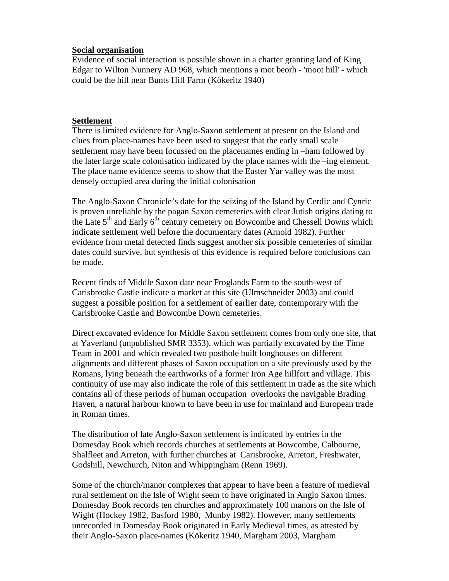### **Social organisation**

Evidence of social interaction is possible shown in a charter granting land of King Edgar to Wilton Nunnery AD 968, which mentions a mot beorh - 'moot hill' - which could be the hill near Bunts Hill Farm (Kökeritz 1940)

#### **Settlement**

There is limited evidence for Anglo-Saxon settlement at present on the Island and clues from place-names have been used to suggest that the early small scale settlement may have been focussed on the placenames ending in –ham followed by the later large scale colonisation indicated by the place names with the –ing element. The place name evidence seems to show that the Easter Yar valley was the most densely occupied area during the initial colonisation

The Anglo-Saxon Chronicle's date for the seizing of the Island by Cerdic and Cynric is proven unreliable by the pagan Saxon cemeteries with clear Jutish origins dating to the Late  $5<sup>th</sup>$  and Early  $6<sup>th</sup>$  century cemetery on Bowcombe and Chessell Downs which indicate settlement well before the documentary dates (Arnold 1982). Further evidence from metal detected finds suggest another six possible cemeteries of similar dates could survive, but synthesis of this evidence is required before conclusions can be made.

Recent finds of Middle Saxon date near Froglands Farm to the south-west of Carisbrooke Castle indicate a market at this site (Ulmschneider 2003) and could suggest a possible position for a settlement of earlier date, contemporary with the Carisbrooke Castle and Bowcombe Down cemeteries.

Direct excavated evidence for Middle Saxon settlement comes from only one site, that at Yaverland (unpublished SMR 3353), which was partially excavated by the Time Team in 2001 and which revealed two posthole built longhouses on different alignments and different phases of Saxon occupation on a site previously used by the Romans, lying beneath the earthworks of a former Iron Age hillfort and village. This continuity of use may also indicate the role of this settlement in trade as the site which contains all of these periods of human occupation overlooks the navigable Brading Haven, a natural harbour known to have been in use for mainland and European trade in Roman times.

The distribution of late Anglo-Saxon settlement is indicated by entries in the Domesday Book which records churches at settlements at Bowcombe, Calbourne, Shalfleet and Arreton, with further churches at Carisbrooke, Arreton, Freshwater, Godshill, Newchurch, Niton and Whippingham (Renn 1969).

Some of the church/manor complexes that appear to have been a feature of medieval rural settlement on the Isle of Wight seem to have originated in Anglo Saxon times. Domesday Book records ten churches and approximately 100 manors on the Isle of Wight (Hockey 1982, Basford 1980, Munby 1982). However, many settlements unrecorded in Domesday Book originated in Early Medieval times, as attested by their Anglo-Saxon place-names (Kökeritz 1940, Margham 2003, Margham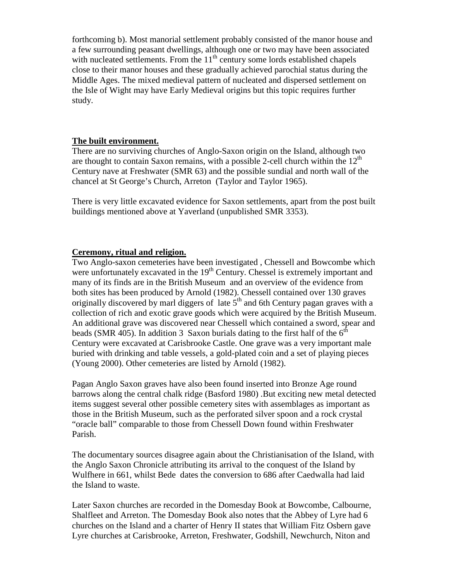forthcoming b). Most manorial settlement probably consisted of the manor house and a few surrounding peasant dwellings, although one or two may have been associated with nucleated settlements. From the  $11<sup>th</sup>$  century some lords established chapels close to their manor houses and these gradually achieved parochial status during the Middle Ages. The mixed medieval pattern of nucleated and dispersed settlement on the Isle of Wight may have Early Medieval origins but this topic requires further study.

### **The built environment.**

There are no surviving churches of Anglo-Saxon origin on the Island, although two are thought to contain Saxon remains, with a possible 2-cell church within the  $12<sup>th</sup>$ Century nave at Freshwater (SMR 63) and the possible sundial and north wall of the chancel at St George's Church, Arreton (Taylor and Taylor 1965).

There is very little excavated evidence for Saxon settlements, apart from the post built buildings mentioned above at Yaverland (unpublished SMR 3353).

## **Ceremony, ritual and religion.**

Two Anglo-saxon cemeteries have been investigated , Chessell and Bowcombe which were unfortunately excavated in the  $19<sup>th</sup>$  Century. Chessel is extremely important and many of its finds are in the British Museum and an overview of the evidence from both sites has been produced by Arnold (1982). Chessell contained over 130 graves originally discovered by marl diggers of late  $5<sup>th</sup>$  and 6th Century pagan graves with a collection of rich and exotic grave goods which were acquired by the British Museum. An additional grave was discovered near Chessell which contained a sword, spear and beads (SMR 405). In addition 3 Saxon burials dating to the first half of the  $6<sup>th</sup>$ Century were excavated at Carisbrooke Castle. One grave was a very important male buried with drinking and table vessels, a gold-plated coin and a set of playing pieces (Young 2000). Other cemeteries are listed by Arnold (1982).

Pagan Anglo Saxon graves have also been found inserted into Bronze Age round barrows along the central chalk ridge (Basford 1980) .But exciting new metal detected items suggest several other possible cemetery sites with assemblages as important as those in the British Museum, such as the perforated silver spoon and a rock crystal "oracle ball" comparable to those from Chessell Down found within Freshwater Parish.

The documentary sources disagree again about the Christianisation of the Island, with the Anglo Saxon Chronicle attributing its arrival to the conquest of the Island by Wulfhere in 661, whilst Bede dates the conversion to 686 after Caedwalla had laid the Island to waste.

Later Saxon churches are recorded in the Domesday Book at Bowcombe, Calbourne, Shalfleet and Arreton. The Domesday Book also notes that the Abbey of Lyre had 6 churches on the Island and a charter of Henry II states that William Fitz Osbern gave Lyre churches at Carisbrooke, Arreton, Freshwater, Godshill, Newchurch, Niton and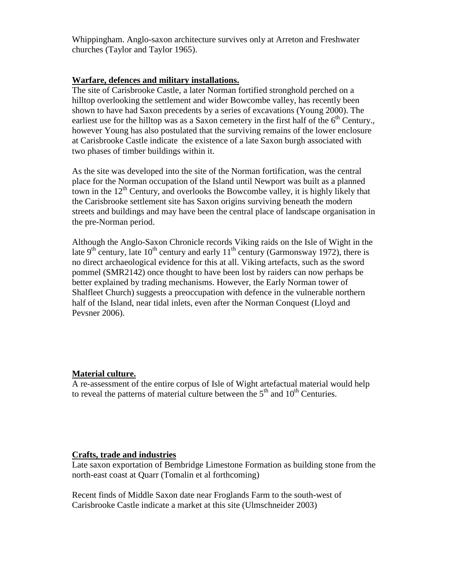Whippingham. Anglo-saxon architecture survives only at Arreton and Freshwater churches (Taylor and Taylor 1965).

## **Warfare, defences and military installations.**

The site of Carisbrooke Castle, a later Norman fortified stronghold perched on a hilltop overlooking the settlement and wider Bowcombe valley, has recently been shown to have had Saxon precedents by a series of excavations (Young 2000). The earliest use for the hilltop was as a Saxon cemetery in the first half of the  $6<sup>th</sup>$  Century. however Young has also postulated that the surviving remains of the lower enclosure at Carisbrooke Castle indicate the existence of a late Saxon burgh associated with two phases of timber buildings within it.

As the site was developed into the site of the Norman fortification, was the central place for the Norman occupation of the Island until Newport was built as a planned town in the  $12<sup>th</sup>$  Century, and overlooks the Bowcombe valley, it is highly likely that the Carisbrooke settlement site has Saxon origins surviving beneath the modern streets and buildings and may have been the central place of landscape organisation in the pre-Norman period.

Although the Anglo-Saxon Chronicle records Viking raids on the Isle of Wight in the late 9<sup>th</sup> century, late 10<sup>th</sup> century and early 11<sup>th</sup> century (Garmonsway 1972), there is no direct archaeological evidence for this at all. Viking artefacts, such as the sword pommel (SMR2142) once thought to have been lost by raiders can now perhaps be better explained by trading mechanisms. However, the Early Norman tower of Shalfleet Church) suggests a preoccupation with defence in the vulnerable northern half of the Island, near tidal inlets, even after the Norman Conquest (Lloyd and Pevsner 2006).

# **Material culture.**

A re-assessment of the entire corpus of Isle of Wight artefactual material would help to reveal the patterns of material culture between the  $5<sup>th</sup>$  and  $10<sup>th</sup>$  Centuries.

### **Crafts, trade and industries**

Late saxon exportation of Bembridge Limestone Formation as building stone from the north-east coast at Quarr (Tomalin et al forthcoming)

Recent finds of Middle Saxon date near Froglands Farm to the south-west of Carisbrooke Castle indicate a market at this site (Ulmschneider 2003)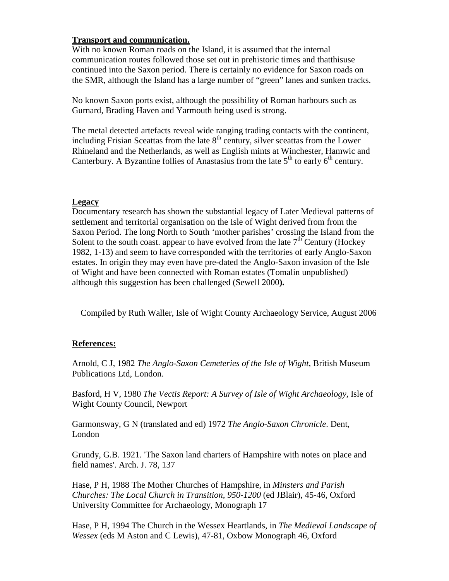### **Transport and communication.**

With no known Roman roads on the Island, it is assumed that the internal communication routes followed those set out in prehistoric times and thatthisuse continued into the Saxon period. There is certainly no evidence for Saxon roads on the SMR, although the Island has a large number of "green" lanes and sunken tracks.

No known Saxon ports exist, although the possibility of Roman harbours such as Gurnard, Brading Haven and Yarmouth being used is strong.

The metal detected artefacts reveal wide ranging trading contacts with the continent, including Frisian Sceattas from the late  $8<sup>th</sup>$  century, silver sceattas from the Lower Rhineland and the Netherlands, as well as English mints at Winchester, Hamwic and Canterbury. A Byzantine follies of Anastasius from the late  $5<sup>th</sup>$  to early  $6<sup>th</sup>$  century.

### **Legacy**

Documentary research has shown the substantial legacy of Later Medieval patterns of settlement and territorial organisation on the Isle of Wight derived from from the Saxon Period. The long North to South 'mother parishes' crossing the Island from the Solent to the south coast. appear to have evolved from the late  $7<sup>th</sup>$  Century (Hockey 1982, 1-13) and seem to have corresponded with the territories of early Anglo-Saxon estates. In origin they may even have pre-dated the Anglo-Saxon invasion of the Isle of Wight and have been connected with Roman estates (Tomalin unpublished) although this suggestion has been challenged (Sewell 2000**).**

Compiled by Ruth Waller, Isle of Wight County Archaeology Service, August 2006

### **References:**

Arnold, C J, 1982 *The Anglo-Saxon Cemeteries of the Isle of Wight,* British Museum Publications Ltd, London.

Basford, H V, 1980 *The Vectis Report: A Survey of Isle of Wight Archaeology,* Isle of Wight County Council, Newport

Garmonsway, G N (translated and ed) 1972 *The Anglo-Saxon Chronicle*. Dent, London

Grundy, G.B. 1921. 'The Saxon land charters of Hampshire with notes on place and field names'. Arch. J. 78, 137

Hase, P H, 1988 The Mother Churches of Hampshire, in *Minsters and Parish Churches: The Local Church in Transition, 950-1200* (ed JBlair), 45-46, Oxford University Committee for Archaeology, Monograph 17

Hase, P H, 1994 The Church in the Wessex Heartlands, in *The Medieval Landscape of Wessex* (eds M Aston and C Lewis), 47-81, Oxbow Monograph 46, Oxford